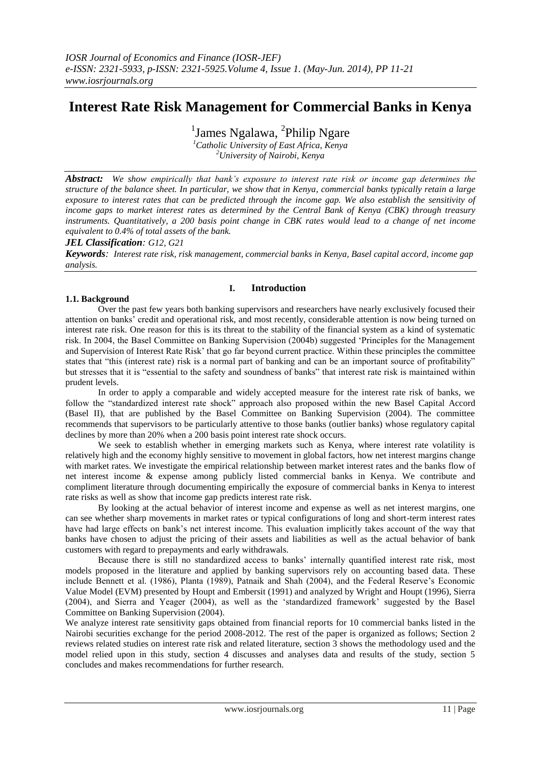# **Interest Rate Risk Management for Commercial Banks in Kenya**

<sup>1</sup>James Ngalawa, <sup>2</sup>Philip Ngare

*<sup>1</sup>Catholic University of East Africa, Kenya <sup>2</sup>University of Nairobi, Kenya*

*Abstract: We show empirically that bank's exposure to interest rate risk or income gap determines the structure of the balance sheet. In particular, we show that in Kenya, commercial banks typically retain a large exposure to interest rates that can be predicted through the income gap. We also establish the sensitivity of income gaps to market interest rates as determined by the Central Bank of Kenya (CBK) through treasury instruments. Quantitatively, a 200 basis point change in CBK rates would lead to a change of net income equivalent to 0.4% of total assets of the bank.* 

*JEL Classification: G12, G21*

*Keywords: Interest rate risk, risk management, commercial banks in Kenya, Basel capital accord, income gap analysis.*

# **I. Introduction**

#### **1.1. Background**

Over the past few years both banking supervisors and researchers have nearly exclusively focused their attention on banks" credit and operational risk, and most recently, considerable attention is now being turned on interest rate risk. One reason for this is its threat to the stability of the financial system as a kind of systematic risk. In 2004, the Basel Committee on Banking Supervision (2004b) suggested "Principles for the Management and Supervision of Interest Rate Risk" that go far beyond current practice. Within these principles the committee states that "this (interest rate) risk is a normal part of banking and can be an important source of profitability" but stresses that it is "essential to the safety and soundness of banks" that interest rate risk is maintained within prudent levels.

In order to apply a comparable and widely accepted measure for the interest rate risk of banks, we follow the "standardized interest rate shock" approach also proposed within the new Basel Capital Accord (Basel II), that are published by the Basel Committee on Banking Supervision (2004). The committee recommends that supervisors to be particularly attentive to those banks (outlier banks) whose regulatory capital declines by more than 20% when a 200 basis point interest rate shock occurs.

We seek to establish whether in emerging markets such as Kenya, where interest rate volatility is relatively high and the economy highly sensitive to movement in global factors, how net interest margins change with market rates. We investigate the empirical relationship between market interest rates and the banks flow of net interest income & expense among publicly listed commercial banks in Kenya. We contribute and compliment literature through documenting empirically the exposure of commercial banks in Kenya to interest rate risks as well as show that income gap predicts interest rate risk.

By looking at the actual behavior of interest income and expense as well as net interest margins, one can see whether sharp movements in market rates or typical configurations of long and short-term interest rates have had large effects on bank"s net interest income. This evaluation implicitly takes account of the way that banks have chosen to adjust the pricing of their assets and liabilities as well as the actual behavior of bank customers with regard to prepayments and early withdrawals.

Because there is still no standardized access to banks" internally quantified interest rate risk, most models proposed in the literature and applied by banking supervisors rely on accounting based data. These include Bennett et al. (1986), Planta (1989), Patnaik and Shah (2004), and the Federal Reserve's Economic Value Model (EVM) presented by Houpt and Embersit (1991) and analyzed by Wright and Houpt (1996), Sierra (2004), and Sierra and Yeager (2004), as well as the "standardized framework" suggested by the Basel Committee on Banking Supervision (2004).

We analyze interest rate sensitivity gaps obtained from financial reports for 10 commercial banks listed in the Nairobi securities exchange for the period 2008-2012. The rest of the paper is organized as follows; Section 2 reviews related studies on interest rate risk and related literature, section 3 shows the methodology used and the model relied upon in this study, section 4 discusses and analyses data and results of the study, section 5 concludes and makes recommendations for further research.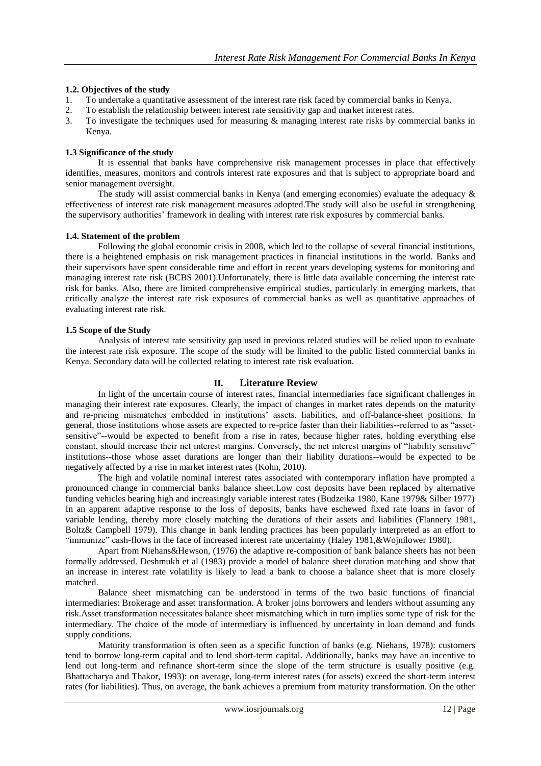### **1.2. Objectives of the study**

- 1. To undertake a quantitative assessment of the interest rate risk faced by commercial banks in Kenya.
- 2. To establish the relationship between interest rate sensitivity gap and market interest rates.
- 3. To investigate the techniques used for measuring & managing interest rate risks by commercial banks in Kenya.

### **1.3 Significance of the study**

It is essential that banks have comprehensive risk management processes in place that effectively identifies, measures, monitors and controls interest rate exposures and that is subject to appropriate board and senior management oversight.

The study will assist commercial banks in Kenya (and emerging economies) evaluate the adequacy & effectiveness of interest rate risk management measures adopted.The study will also be useful in strengthening the supervisory authorities" framework in dealing with interest rate risk exposures by commercial banks.

#### **1.4. Statement of the problem**

Following the global economic crisis in 2008, which led to the collapse of several financial institutions, there is a heightened emphasis on risk management practices in financial institutions in the world. Banks and their supervisors have spent considerable time and effort in recent years developing systems for monitoring and managing interest rate risk (BCBS 2001).Unfortunately, there is little data available concerning the interest rate risk for banks. Also, there are limited comprehensive empirical studies, particularly in emerging markets, that critically analyze the interest rate risk exposures of commercial banks as well as quantitative approaches of evaluating interest rate risk.

#### **1.5 Scope of the Study**

Analysis of interest rate sensitivity gap used in previous related studies will be relied upon to evaluate the interest rate risk exposure. The scope of the study will be limited to the public listed commercial banks in Kenya. Secondary data will be collected relating to interest rate risk evaluation.

# **II. Literature Review**

In light of the uncertain course of interest rates, financial intermediaries face significant challenges in managing their interest rate exposures. Clearly, the impact of changes in market rates depends on the maturity and re-pricing mismatches embedded in institutions' assets, liabilities, and off-balance-sheet positions. In general, those institutions whose assets are expected to re-price faster than their liabilities--referred to as "assetsensitive"--would be expected to benefit from a rise in rates, because higher rates, holding everything else constant, should increase their net interest margins. Conversely, the net interest margins of "liability sensitive" institutions--those whose asset durations are longer than their liability durations--would be expected to be negatively affected by a rise in market interest rates (Kohn, 2010).

The high and volatile nominal interest rates associated with contemporary inflation have prompted a pronounced change in commercial banks balance sheet.Low cost deposits have been replaced by alternative funding vehicles bearing high and increasingly variable interest rates (Budzeika 1980, Kane 1979& Silber 1977) In an apparent adaptive response to the loss of deposits, banks have eschewed fixed rate loans in favor of variable lending, thereby more closely matching the durations of their assets and liabilities (Flannery 1981, Boltz& Campbell 1979). This change in bank lending practices has been popularly interpreted as an effort to "immunize" cash-flows in the face of increased interest rate uncertainty (Haley 1981,&Wojnilower 1980).

Apart from Niehans&Hewson, (1976) the adaptive re-composition of bank balance sheets has not been formally addressed. Deshmukh et al (1983) provide a model of balance sheet duration matching and show that an increase in interest rate volatility is likely to lead a bank to choose a balance sheet that is more closely matched.

Balance sheet mismatching can be understood in terms of the two basic functions of financial intermediaries: Brokerage and asset transformation. A broker joins borrowers and lenders without assuming any risk.Asset transformation necessitates balance sheet mismatching which in turn implies some type of risk for the intermediary. The choice of the mode of intermediary is influenced by uncertainty in loan demand and funds supply conditions.

Maturity transformation is often seen as a specific function of banks (e.g. Niehans, 1978): customers tend to borrow long-term capital and to lend short-term capital. Additionally, banks may have an incentive to lend out long-term and refinance short-term since the slope of the term structure is usually positive (e.g. Bhattacharya and Thakor, 1993): on average, long-term interest rates (for assets) exceed the short-term interest rates (for liabilities). Thus, on average, the bank achieves a premium from maturity transformation. On the other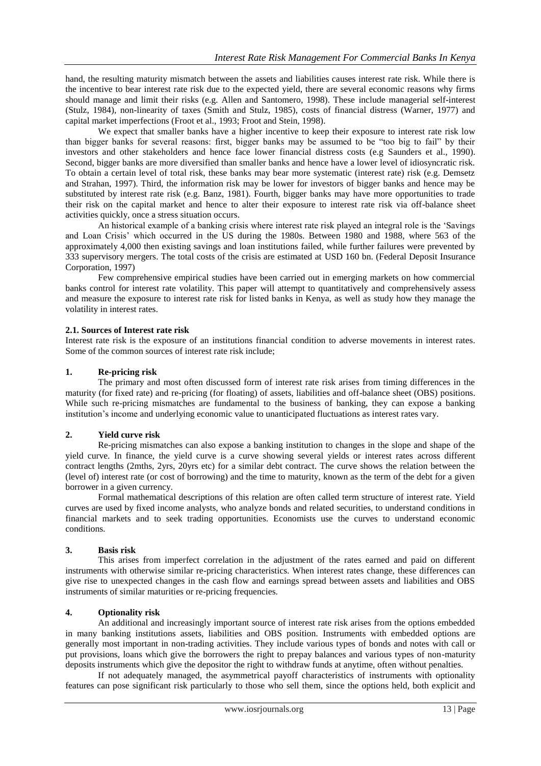hand, the resulting maturity mismatch between the assets and liabilities causes interest rate risk. While there is the incentive to bear interest rate risk due to the expected yield, there are several economic reasons why firms should manage and limit their risks (e.g. Allen and Santomero, 1998). These include managerial self-interest (Stulz, 1984), non-linearity of taxes (Smith and Stulz, 1985), costs of financial distress (Warner, 1977) and capital market imperfections (Froot et al., 1993; Froot and Stein, 1998).

We expect that smaller banks have a higher incentive to keep their exposure to interest rate risk low than bigger banks for several reasons: first, bigger banks may be assumed to be "too big to fail" by their investors and other stakeholders and hence face lower financial distress costs (e.g Saunders et al., 1990). Second, bigger banks are more diversified than smaller banks and hence have a lower level of idiosyncratic risk. To obtain a certain level of total risk, these banks may bear more systematic (interest rate) risk (e.g. Demsetz and Strahan, 1997). Third, the information risk may be lower for investors of bigger banks and hence may be substituted by interest rate risk (e.g. Banz, 1981). Fourth, bigger banks may have more opportunities to trade their risk on the capital market and hence to alter their exposure to interest rate risk via off-balance sheet activities quickly, once a stress situation occurs.

An historical example of a banking crisis where interest rate risk played an integral role is the "Savings and Loan Crisis" which occurred in the US during the 1980s. Between 1980 and 1988, where 563 of the approximately 4,000 then existing savings and loan institutions failed, while further failures were prevented by 333 supervisory mergers. The total costs of the crisis are estimated at USD 160 bn. (Federal Deposit Insurance Corporation, 1997)

Few comprehensive empirical studies have been carried out in emerging markets on how commercial banks control for interest rate volatility. This paper will attempt to quantitatively and comprehensively assess and measure the exposure to interest rate risk for listed banks in Kenya, as well as study how they manage the volatility in interest rates.

#### **2.1. Sources of Interest rate risk**

Interest rate risk is the exposure of an institutions financial condition to adverse movements in interest rates. Some of the common sources of interest rate risk include;

#### **1. Re-pricing risk**

The primary and most often discussed form of interest rate risk arises from timing differences in the maturity (for fixed rate) and re-pricing (for floating) of assets, liabilities and off-balance sheet (OBS) positions. While such re-pricing mismatches are fundamental to the business of banking, they can expose a banking institution"s income and underlying economic value to unanticipated fluctuations as interest rates vary.

#### **2. Yield curve risk**

Re-pricing mismatches can also expose a banking institution to changes in the slope and shape of the yield curve. In finance, the yield curve is a curve showing several yields or interest rates across different contract lengths (2mths, 2yrs, 20yrs etc) for a similar debt contract. The curve shows the relation between the (level of) interest rate (or cost of borrowing) and the time to maturity, known as the term of the debt for a given borrower in a given currency.

Formal mathematical descriptions of this relation are often called term structure of interest rate. Yield curves are used by fixed income analysts, who analyze bonds and related securities, to understand conditions in financial markets and to seek trading opportunities. Economists use the curves to understand economic conditions.

#### **3. Basis risk**

This arises from imperfect correlation in the adjustment of the rates earned and paid on different instruments with otherwise similar re-pricing characteristics. When interest rates change, these differences can give rise to unexpected changes in the cash flow and earnings spread between assets and liabilities and OBS instruments of similar maturities or re-pricing frequencies.

#### **4. Optionality risk**

An additional and increasingly important source of interest rate risk arises from the options embedded in many banking institutions assets, liabilities and OBS position. Instruments with embedded options are generally most important in non-trading activities. They include various types of bonds and notes with call or put provisions, loans which give the borrowers the right to prepay balances and various types of non-maturity deposits instruments which give the depositor the right to withdraw funds at anytime, often without penalties.

If not adequately managed, the asymmetrical payoff characteristics of instruments with optionality features can pose significant risk particularly to those who sell them, since the options held, both explicit and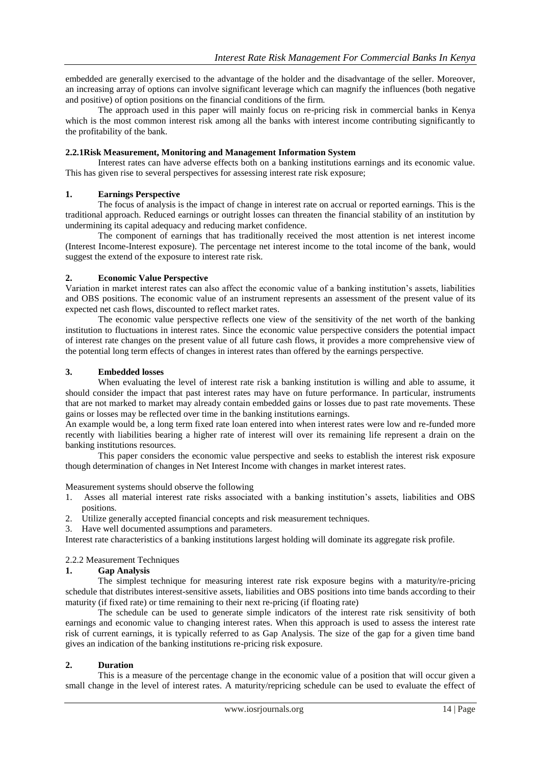embedded are generally exercised to the advantage of the holder and the disadvantage of the seller. Moreover, an increasing array of options can involve significant leverage which can magnify the influences (both negative and positive) of option positions on the financial conditions of the firm.

The approach used in this paper will mainly focus on re-pricing risk in commercial banks in Kenya which is the most common interest risk among all the banks with interest income contributing significantly to the profitability of the bank.

# **2.2.1Risk Measurement, Monitoring and Management Information System**

Interest rates can have adverse effects both on a banking institutions earnings and its economic value. This has given rise to several perspectives for assessing interest rate risk exposure;

# **1. Earnings Perspective**

The focus of analysis is the impact of change in interest rate on accrual or reported earnings. This is the traditional approach. Reduced earnings or outright losses can threaten the financial stability of an institution by undermining its capital adequacy and reducing market confidence.

The component of earnings that has traditionally received the most attention is net interest income (Interest Income-Interest exposure). The percentage net interest income to the total income of the bank, would suggest the extend of the exposure to interest rate risk.

# **2. Economic Value Perspective**

Variation in market interest rates can also affect the economic value of a banking institution"s assets, liabilities and OBS positions. The economic value of an instrument represents an assessment of the present value of its expected net cash flows, discounted to reflect market rates.

The economic value perspective reflects one view of the sensitivity of the net worth of the banking institution to fluctuations in interest rates. Since the economic value perspective considers the potential impact of interest rate changes on the present value of all future cash flows, it provides a more comprehensive view of the potential long term effects of changes in interest rates than offered by the earnings perspective.

# **3. Embedded losses**

When evaluating the level of interest rate risk a banking institution is willing and able to assume, it should consider the impact that past interest rates may have on future performance. In particular, instruments that are not marked to market may already contain embedded gains or losses due to past rate movements. These gains or losses may be reflected over time in the banking institutions earnings.

An example would be, a long term fixed rate loan entered into when interest rates were low and re-funded more recently with liabilities bearing a higher rate of interest will over its remaining life represent a drain on the banking institutions resources.

This paper considers the economic value perspective and seeks to establish the interest risk exposure though determination of changes in Net Interest Income with changes in market interest rates.

#### Measurement systems should observe the following

- 1. Asses all material interest rate risks associated with a banking institution"s assets, liabilities and OBS positions.
- 2. Utilize generally accepted financial concepts and risk measurement techniques.
- 3. Have well documented assumptions and parameters.

Interest rate characteristics of a banking institutions largest holding will dominate its aggregate risk profile.

# 2.2.2 Measurement Techniques

# **1. Gap Analysis**

The simplest technique for measuring interest rate risk exposure begins with a maturity/re-pricing schedule that distributes interest-sensitive assets, liabilities and OBS positions into time bands according to their maturity (if fixed rate) or time remaining to their next re-pricing (if floating rate)

The schedule can be used to generate simple indicators of the interest rate risk sensitivity of both earnings and economic value to changing interest rates. When this approach is used to assess the interest rate risk of current earnings, it is typically referred to as Gap Analysis. The size of the gap for a given time band gives an indication of the banking institutions re-pricing risk exposure.

#### **2. Duration**

This is a measure of the percentage change in the economic value of a position that will occur given a small change in the level of interest rates. A maturity/repricing schedule can be used to evaluate the effect of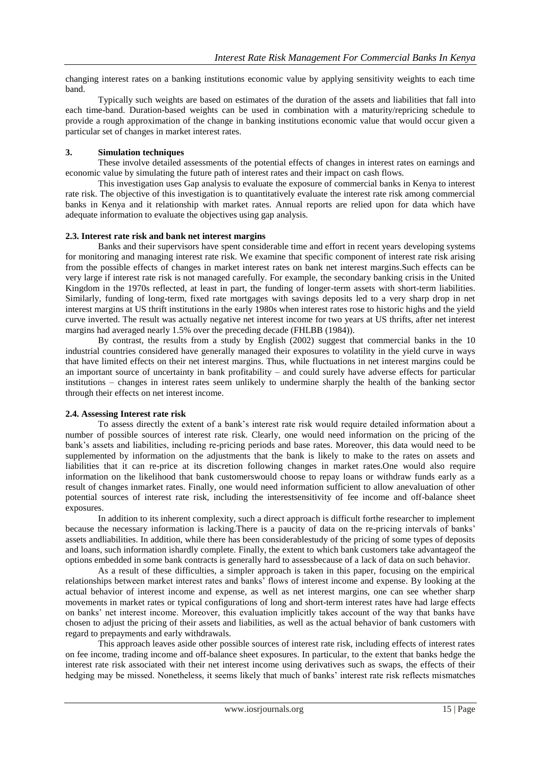changing interest rates on a banking institutions economic value by applying sensitivity weights to each time band.

Typically such weights are based on estimates of the duration of the assets and liabilities that fall into each time-band. Duration-based weights can be used in combination with a maturity/repricing schedule to provide a rough approximation of the change in banking institutions economic value that would occur given a particular set of changes in market interest rates.

### **3. Simulation techniques**

These involve detailed assessments of the potential effects of changes in interest rates on earnings and economic value by simulating the future path of interest rates and their impact on cash flows.

This investigation uses Gap analysis to evaluate the exposure of commercial banks in Kenya to interest rate risk. The objective of this investigation is to quantitatively evaluate the interest rate risk among commercial banks in Kenya and it relationship with market rates. Annual reports are relied upon for data which have adequate information to evaluate the objectives using gap analysis.

#### **2.3. Interest rate risk and bank net interest margins**

Banks and their supervisors have spent considerable time and effort in recent years developing systems for monitoring and managing interest rate risk. We examine that specific component of interest rate risk arising from the possible effects of changes in market interest rates on bank net interest margins.Such effects can be very large if interest rate risk is not managed carefully. For example, the secondary banking crisis in the United Kingdom in the 1970s reflected, at least in part, the funding of longer-term assets with short-term liabilities. Similarly, funding of long-term, fixed rate mortgages with savings deposits led to a very sharp drop in net interest margins at US thrift institutions in the early 1980s when interest rates rose to historic highs and the yield curve inverted. The result was actually negative net interest income for two years at US thrifts, after net interest margins had averaged nearly 1.5% over the preceding decade (FHLBB (1984)).

By contrast, the results from a study by English (2002) suggest that commercial banks in the 10 industrial countries considered have generally managed their exposures to volatility in the yield curve in ways that have limited effects on their net interest margins. Thus, while fluctuations in net interest margins could be an important source of uncertainty in bank profitability – and could surely have adverse effects for particular institutions – changes in interest rates seem unlikely to undermine sharply the health of the banking sector through their effects on net interest income.

### **2.4. Assessing Interest rate risk**

To assess directly the extent of a bank"s interest rate risk would require detailed information about a number of possible sources of interest rate risk. Clearly, one would need information on the pricing of the bank"s assets and liabilities, including re-pricing periods and base rates. Moreover, this data would need to be supplemented by information on the adjustments that the bank is likely to make to the rates on assets and liabilities that it can re-price at its discretion following changes in market rates.One would also require information on the likelihood that bank customerswould choose to repay loans or withdraw funds early as a result of changes inmarket rates. Finally, one would need information sufficient to allow anevaluation of other potential sources of interest rate risk, including the interestsensitivity of fee income and off-balance sheet exposures.

In addition to its inherent complexity, such a direct approach is difficult forthe researcher to implement because the necessary information is lacking.There is a paucity of data on the re-pricing intervals of banks" assets andliabilities. In addition, while there has been considerablestudy of the pricing of some types of deposits and loans, such information ishardly complete. Finally, the extent to which bank customers take advantageof the options embedded in some bank contracts is generally hard to assessbecause of a lack of data on such behavior.

As a result of these difficulties, a simpler approach is taken in this paper, focusing on the empirical relationships between market interest rates and banks" flows of interest income and expense. By looking at the actual behavior of interest income and expense, as well as net interest margins, one can see whether sharp movements in market rates or typical configurations of long and short-term interest rates have had large effects on banks" net interest income. Moreover, this evaluation implicitly takes account of the way that banks have chosen to adjust the pricing of their assets and liabilities, as well as the actual behavior of bank customers with regard to prepayments and early withdrawals.

This approach leaves aside other possible sources of interest rate risk, including effects of interest rates on fee income, trading income and off-balance sheet exposures. In particular, to the extent that banks hedge the interest rate risk associated with their net interest income using derivatives such as swaps, the effects of their hedging may be missed. Nonetheless, it seems likely that much of banks" interest rate risk reflects mismatches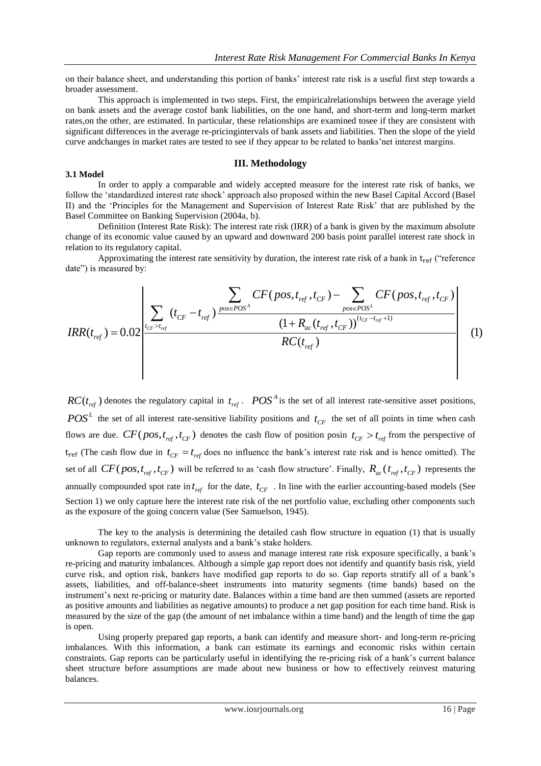on their balance sheet, and understanding this portion of banks" interest rate risk is a useful first step towards a broader assessment.

This approach is implemented in two steps. First, the empiricalrelationships between the average yield on bank assets and the average costof bank liabilities, on the one hand, and short-term and long-term market rates,on the other, are estimated. In particular, these relationships are examined tosee if they are consistent with significant differences in the average re-pricingintervals of bank assets and liabilities. Then the slope of the yield curve andchanges in market rates are tested to see if they appear to be related to banks"net interest margins.

#### **III. Methodology**

#### **3.1 Model**

In order to apply a comparable and widely accepted measure for the interest rate risk of banks, we follow the "standardized interest rate shock" approach also proposed within the new Basel Capital Accord (Basel II) and the "Principles for the Management and Supervision of Interest Rate Risk" that are published by the Basel Committee on Banking Supervision (2004a, b).

Definition (Interest Rate Risk): The interest rate risk (IRR) of a bank is given by the maximum absolute change of its economic value caused by an upward and downward 200 basis point parallel interest rate shock in relation to its regulatory capital.

Approximating the interest rate sensitivity by duration, the interest rate risk of a bank in  $t_{ref}$  ("reference date") is measured by:

Based Committee on Banking Supervision (2004a, b).

\nDefinition (Interest Rate Risk): The interest rate risk (IRR) of a bank is given by the maximum absolute change of its economic value caused by an upward and downward 200 basis point parallel interest rate shock in relation to its regulatory capital.

\nApproximating the interest rate sensitivity by duration, the interest rate risk of a bank in t<sub>ref</sub> ("reference date") is measured by:

\n
$$
\sum_{\text{date}} \sum_{\text{if } C = t_{\text{ref}}} CF(pos, t_{\text{ref}}, t_{\text{CF}}) - \sum_{\text{post } POS} CF(pos, t_{\text{ref}}, t_{\text{CF}})
$$

\n
$$
IRR(t_{\text{ref}}) = 0.02 \left| \sum_{\text{if } C = t_{\text{ref}}} (t_{\text{CF}} - t_{\text{ref}}) \frac{pos \in POS^{\text{A}}}{\sqrt{1 + R_{ac}(t_{\text{ref}}, t_{\text{CF}})}}) \frac{(1 + R_{ac}(t_{\text{ref}}, t_{\text{CF}}))^{(t_{\text{CF}} - t_{\text{ref}} + 1)}}{(1 + R_{ac}(t_{\text{ref}}, t_{\text{CF}}))^{(t_{\text{CF}} - t_{\text{ref}} + 1)}}
$$

\n(1)

 $RC(t_{ref})$  denotes the regulatory capital in  $t_{ref}$ .  $POS<sup>A</sup>$  is the set of all interest rate-sensitive asset positions,  $POS<sup>L</sup>$  the set of all interest rate-sensitive liability positions and  $t_{CF}$  the set of all points in time when cash flows are due.  $CF(pos, t_{ref}, t_{CF})$  denotes the cash flow of position posin  $t_{CF} > t_{ref}$  from the perspective of  $t_{ref}$  (The cash flow due in  $t_{CF} = t_{ref}$  does no influence the bank's interest rate risk and is hence omitted). The set of all  $CF(pos, t_{ref}, t_{CF})$  will be referred to as 'cash flow structure'. Finally,  $R_{ac}(t_{ref}, t_{CF})$  represents the annually compounded spot rate in  $t_{ref}$  for the date,  $t_{CF}$ . In line with the earlier accounting-based models (See Section 1) we only capture here the interest rate risk of the net portfolio value, excluding other components such as the exposure of the going concern value (See Samuelson, 1945).

The key to the analysis is determining the detailed cash flow structure in equation (1) that is usually unknown to regulators, external analysts and a bank"s stake holders.

Gap reports are commonly used to assess and manage interest rate risk exposure specifically, a bank's re-pricing and maturity imbalances. Although a simple gap report does not identify and quantify basis risk, yield curve risk, and option risk, bankers have modified gap reports to do so. Gap reports stratify all of a bank"s assets, liabilities, and off-balance-sheet instruments into maturity segments (time bands) based on the instrument's next re-pricing or maturity date. Balances within a time band are then summed (assets are reported as positive amounts and liabilities as negative amounts) to produce a net gap position for each time band. Risk is measured by the size of the gap (the amount of net imbalance within a time band) and the length of time the gap is open.

Using properly prepared gap reports, a bank can identify and measure short- and long-term re-pricing imbalances. With this information, a bank can estimate its earnings and economic risks within certain constraints. Gap reports can be particularly useful in identifying the re-pricing risk of a bank"s current balance sheet structure before assumptions are made about new business or how to effectively reinvest maturing balances.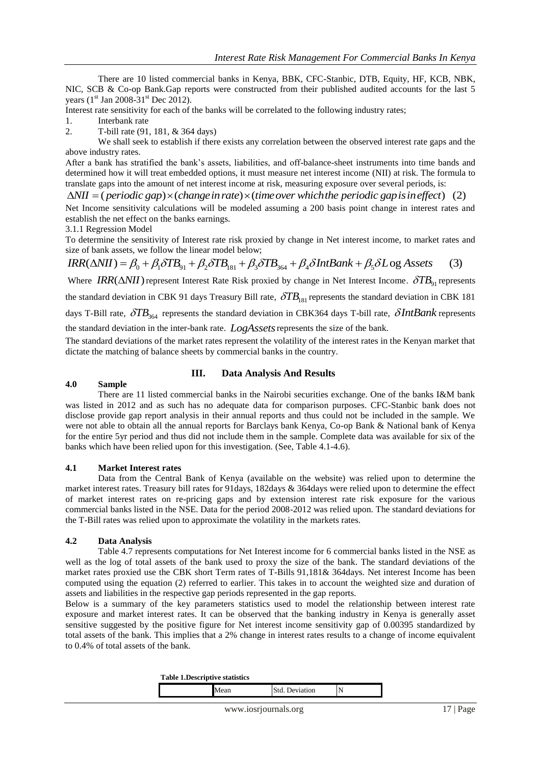There are 10 listed commercial banks in Kenya, BBK, CFC-Stanbic, DTB, Equity, HF, KCB, NBK, NIC, SCB & Co-op Bank.Gap reports were constructed from their published audited accounts for the last 5 years  $(1<sup>st</sup>$  Jan 2008-31<sup>st</sup> Dec 2012).

Interest rate sensitivity for each of the banks will be correlated to the following industry rates;

- 1. Interbank rate
- 2. T-bill rate (91, 181, & 364 days)

We shall seek to establish if there exists any correlation between the observed interest rate gaps and the above industry rates.

After a bank has stratified the bank"s assets, liabilities, and off-balance-sheet instruments into time bands and determined how it will treat embedded options, it must measure net interest income (NII) at risk. The formula to translate gaps into the amount of net interest income at risk, measuring exposure over several periods, is: We shall seek to establish it there exists any correlation between the observed interest rate gaps and the above industry rates.<br>After a bank has stratified the bank's assets, liabilities, and off-balance-sheet instrument

establish the net effect on the banks earnings.

3.1.1 Regression Model

To determine the sensitivity of Interest rate risk proxied by change in Net interest income, to market rates and size of bank assets, we follow the linear model below;

 $IRR(\Delta NII) = \beta_0 + \beta_1 \delta TB_{91} + \beta_2 \delta TB_{181} + \beta_3 \delta TB_{364} + \beta_4 \delta IntBank + \beta_5 \delta Log Assets$  (3)

Where  $IRR(\Delta NII)$  represent Interest Rate Risk proxied by change in Net Interest Income.  $\delta TB_{91}$  represents

the standard deviation in CBK 91 days Treasury Bill rate,  $\delta T B_{181}$  represents the standard deviation in CBK 181

days T-Bill rate,  $\delta TB_{364}$  represents the standard deviation in CBK364 days T-bill rate,  $\delta IntBank$  represents

the standard deviation in the inter-bank rate. *LogAssets* represents the size of the bank.

The standard deviations of the market rates represent the volatility of the interest rates in the Kenyan market that dictate the matching of balance sheets by commercial banks in the country.

# **4.0 Sample**

# **III. Data Analysis And Results**

There are 11 listed commercial banks in the Nairobi securities exchange. One of the banks I&M bank was listed in 2012 and as such has no adequate data for comparison purposes. CFC-Stanbic bank does not disclose provide gap report analysis in their annual reports and thus could not be included in the sample. We were not able to obtain all the annual reports for Barclays bank Kenya, Co-op Bank & National bank of Kenya for the entire 5yr period and thus did not include them in the sample. Complete data was available for six of the banks which have been relied upon for this investigation. (See, Table 4.1-4.6).

# **4.1 Market Interest rates**

Data from the Central Bank of Kenya (available on the website) was relied upon to determine the market interest rates. Treasury bill rates for 91days, 182days & 364days were relied upon to determine the effect of market interest rates on re-pricing gaps and by extension interest rate risk exposure for the various commercial banks listed in the NSE. Data for the period 2008-2012 was relied upon. The standard deviations for the T-Bill rates was relied upon to approximate the volatility in the markets rates.

# **4.2 Data Analysis**

Table 4.7 represents computations for Net Interest income for 6 commercial banks listed in the NSE as well as the log of total assets of the bank used to proxy the size of the bank. The standard deviations of the market rates proxied use the CBK short Term rates of T-Bills 91,181& 364days. Net interest Income has been computed using the equation (2) referred to earlier. This takes in to account the weighted size and duration of assets and liabilities in the respective gap periods represented in the gap reports.

Below is a summary of the key parameters statistics used to model the relationship between interest rate exposure and market interest rates. It can be observed that the banking industry in Kenya is generally asset sensitive suggested by the positive figure for Net interest income sensitivity gap of 0.00395 standardized by total assets of the bank. This implies that a 2% change in interest rates results to a change of income equivalent to 0.4% of total assets of the bank.

| Table 1.Descriptive statistics |  |
|--------------------------------|--|
|--------------------------------|--|

|--|--|--|--|--|--|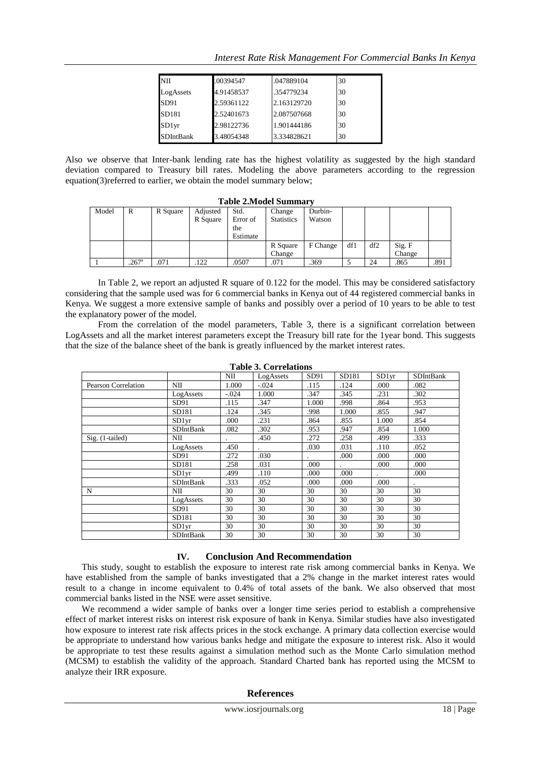| Interest Rate Risk Management For Commercial Banks In Kenya |  |  |  |  |  |
|-------------------------------------------------------------|--|--|--|--|--|
|                                                             |  |  |  |  |  |

| <b>NII</b>       | .00394547  | .047889104  | 30 |
|------------------|------------|-------------|----|
| LogAssets        | 4.91458537 | .354779234  | 30 |
| SD91             | 2.59361122 | 2.163129720 | 30 |
| SD181            | 2.52401673 | 2.087507668 | 30 |
| SD1yr            | 2.98122736 | 1.901444186 | 30 |
| <b>SDIntBank</b> | 3.48054348 | 3.334828621 | 30 |

Also we observe that Inter-bank lending rate has the highest volatility as suggested by the high standard deviation compared to Treasury bill rates. Modeling the above parameters according to the regression equation(3)referred to earlier, we obtain the model summary below;

|       | тарк 2.мочетраница |          |                      |                                     |                             |                   |     |     |                  |      |  |
|-------|--------------------|----------|----------------------|-------------------------------------|-----------------------------|-------------------|-----|-----|------------------|------|--|
| Model | R                  | R Square | Adjusted<br>R Square | Std.<br>Error of<br>the<br>Estimate | Change<br><b>Statistics</b> | Durbin-<br>Watson |     |     |                  |      |  |
|       |                    |          |                      |                                     | R Square<br>Change          | F Change          | df1 | df2 | Sig. F<br>Change |      |  |
|       | $.267^{\circ}$     | .071     | 122                  | .0507                               | .071                        | .369              |     | 24  | .865             | .891 |  |

**Table 2.Model Summary**

In Table 2, we report an adjusted R square of 0.122 for the model. This may be considered satisfactory considering that the sample used was for 6 commercial banks in Kenya out of 44 registered commercial banks in Kenya. We suggest a more extensive sample of banks and possibly over a period of 10 years to be able to test the explanatory power of the model.

From the correlation of the model parameters, Table 3, there is a significant correlation between LogAssets and all the market interest parameters except the Treasury bill rate for the 1year bond. This suggests that the size of the balance sheet of the bank is greatly influenced by the market interest rates.

|                     |                   | NII     | LogAssets | SD91  | SD181 | SD1yr | <b>SDIntBank</b> |
|---------------------|-------------------|---------|-----------|-------|-------|-------|------------------|
| Pearson Correlation | NII               | 1.000   | $-.024$   | .115  | .124  | .000  | .082             |
|                     | LogAssets         | $-.024$ | 1.000     | .347  | .345  | .231  | .302             |
|                     | SD91              | .115    | .347      | 1.000 | .998  | .864  | .953             |
|                     | SD181             | .124    | .345      | .998  | 1.000 | .855  | .947             |
|                     | SD1 <sub>vr</sub> | .000    | .231      | .864  | .855  | 1.000 | .854             |
|                     | SDIntBank         | .082    | .302      | .953  | .947  | .854  | 1.000            |
| Sig. (1-tailed)     | NII               |         | .450      | .272  | .258  | .499  | .333             |
|                     | LogAssets         | .450    |           | .030  | .031  | .110  | .052             |
|                     | SD91              | .272    | .030      |       | .000  | .000  | .000             |
|                     | SD181             | .258    | .031      | .000  |       | .000  | .000             |
|                     | SD1yr             | .499    | .110      | .000  | .000  |       | .000             |
|                     | <b>SDIntBank</b>  | .333    | .052      | .000  | .000  | .000  |                  |
| N                   | NII               | 30      | 30        | 30    | 30    | 30    | 30               |
|                     | LogAssets         | 30      | 30        | 30    | 30    | 30    | 30               |
|                     | SD91              | 30      | 30        | 30    | 30    | 30    | 30               |
|                     | SD181             | 30      | 30        | 30    | 30    | 30    | 30               |
|                     | SD1vr             | 30      | 30        | 30    | 30    | 30    | 30               |
|                     | SDIntBank         | 30      | 30        | 30    | 30    | 30    | 30               |

**Table 3. Correlations**

#### **IV. Conclusion And Recommendation**

This study, sought to establish the exposure to interest rate risk among commercial banks in Kenya. We have established from the sample of banks investigated that a 2% change in the market interest rates would result to a change in income equivalent to 0.4% of total assets of the bank. We also observed that most commercial banks listed in the NSE were asset sensitive.

We recommend a wider sample of banks over a longer time series period to establish a comprehensive effect of market interest risks on interest risk exposure of bank in Kenya. Similar studies have also investigated how exposure to interest rate risk affects prices in the stock exchange. A primary data collection exercise would be appropriate to understand how various banks hedge and mitigate the exposure to interest risk. Also it would be appropriate to test these results against a simulation method such as the Monte Carlo simulation method (MCSM) to establish the validity of the approach. Standard Charted bank has reported using the MCSM to analyze their IRR exposure.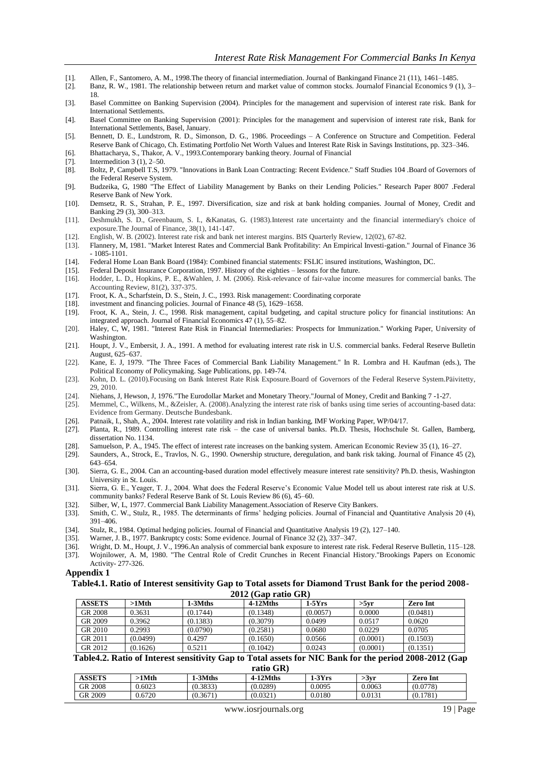- [1]. Allen, F., Santomero, A. M., 1998.The theory of financial intermediation. Journal of Bankingand Finance 21 (11), 1461–1485.
- [2]. Banz, R. W., 1981. The relationship between return and market value of common stocks. Journalof Financial Economics 9 (1), 3– 18.
- [3]. Basel Committee on Banking Supervision (2004). Principles for the management and supervision of interest rate risk. Bank for International Settlements.
- [4]. Basel Committee on Banking Supervision (2001): Principles for the management and supervision of interest rate risk, Bank for International Settlements, Basel, January.
- [5]. Bennett, D. E., Lundstrom, R. D., Simonson, D. G., 1986. Proceedings A Conference on Structure and Competition. Federal Reserve Bank of Chicago, Ch. Estimating Portfolio Net Worth Values and Interest Rate Risk in Savings Institutions, pp. 323–346.
- [6]. Bhattacharya, S., Thakor, A. V., 1993.Contemporary banking theory. Journal of Financial
- [7]. **Intermedition 3 (1), 2–50.**
- [8]. Boltz, P, Campbell T.S, 1979. "Innovations in Bank Loan Contracting: Recent Evidence." Staff Studies 104 .Board of Governors of the Federal Reserve System.
- [9]. Budzeika, G, 1980 "The Effect of Liability Management by Banks on their Lending Policies." Research Paper 8007 .Federal Reserve Bank of New York.
- [10]. Demsetz, R. S., Strahan, P. E., 1997. Diversification, size and risk at bank holding companies. Journal of Money, Credit and Banking 29 (3), 300–313.
- [11]. Deshmukh, S. D., Greenbaum, S. I., &Kanatas, G. (1983).Interest rate uncertainty and the financial intermediary's choice of exposure.The Journal of Finance, 38(1), 141-147.
- [12]. English, W. B. (2002). Interest rate risk and bank net interest margins. BIS Quarterly Review, 12(02), 67-82.
- [13]. Flannery, M, 1981. "Market Interest Rates and Commercial Bank Profitability: An Empirical Investi-gation." Journal of Finance 36 - 1085-1101.
- [14]. Federal Home Loan Bank Board (1984): Combined financial statements: FSLIC insured institutions, Washington, DC.
- [15]. Federal Deposit Insurance Corporation, 1997. History of the eighties lessons for the future. [16]. Hodder, L. D., Hopkins, P. E., & Wahlen, J. M. (2006). Risk-relevance of fair-value incom
- Hodder, L. D., Hopkins, P. E., &Wahlen, J. M. (2006). Risk-relevance of fair-value income measures for commercial banks. The Accounting Review, 81(2), 337-375.
- [17]. Froot, K. A., Scharfstein, D. S., Stein, J. C., 1993. Risk management: Coordinating corporate [18]. investment and financing policies. Journal of Finance 48 (5), 1629–1658.
- investment and financing policies. Journal of Finance 48 (5), 1629-1658.
- [19]. Froot, K. A., Stein, J. C., 1998. Risk management, capital budgeting, and capital structure policy for financial institutions: An integrated approach. Journal of Financial Economics 47 (1), 55–82.
- [20]. Haley, C, W, 1981. "Interest Rate Risk in Financial Intermediaries: Prospects for Immunization." Working Paper, University of Washington.
- [21]. Houpt, J. V., Embersit, J. A., 1991. A method for evaluating interest rate risk in U.S. commercial banks. Federal Reserve Bulletin August, 625–637.
- [22]. Kane, E. J, 1979. "The Three Faces of Commercial Bank Liability Management." In R. Lombra and H. Kaufman (eds.), The Political Economy of Policymaking. Sage Publications, pp. 149-74.
- [23]. Kohn, D. L. (2010).Focusing on Bank Interest Rate Risk Exposure.Board of Governors of the Federal Reserve System.Päivitetty, 29, 2010.
- [24]. Niehans, J, Hewson, J, 1976."The Eurodollar Market and Monetary Theory."Journal of Money, Credit and Banking 7 -1-27.
- [25]. Memmel, C., Wilkens, M., &Zeisler, A. (2008).Analyzing the interest rate risk of banks using time series of accounting-based data: Evidence from Germany. Deutsche Bundesbank.
- [26]. Patnaik, I., Shah, A., 2004. Interest rate volatility and risk in Indian banking, IMF Working Paper, WP/04/17.
- [27]. Planta, R., 1989. Controlling interest rate risk the case of universal banks. Ph.D. Thesis, Hochschule St. Gallen, Bamberg, dissertation No. 1134.
- [28]. Samuelson, P. A., 1945. The effect of interest rate increases on the banking system. American Economic Review 35 (1), 16–27.
- [29]. Saunders, A., Strock, E., Travlos, N. G., 1990. Ownership structure, deregulation, and bank risk taking. Journal of Finance 45 (2), 643–654.
- [30]. Sierra, G. E., 2004. Can an accounting-based duration model effectively measure interest rate sensitivity? Ph.D. thesis, Washington University in St. Louis.
- [31]. Sierra, G. E., Yeager, T. J., 2004. What does the Federal Reserve's Economic Value Model tell us about interest rate risk at U.S. community banks? Federal Reserve Bank of St. Louis Review 86 (6), 45–60.
- [32]. Silber, W, L, 1977. Commercial Bank Liability Management.Association of Reserve City Bankers.
- [33]. Smith, C. W., Stulz, R., 1985. The determinants of firms" hedging policies. Journal of Financial and Quantitative Analysis 20 (4), 391–406.
- [34]. Stulz, R., 1984. Optimal hedging policies. Journal of Financial and Quantitative Analysis 19 (2), 127–140.
- [35]. Warner, J. B., 1977. Bankruptcy costs: Some evidence. Journal of Finance 32 (2), 337–347.
- [36]. Wright, D. M., Houpt, J. V., 1996.An analysis of commercial bank exposure to interest rate risk. Federal Reserve Bulletin, 115–128. [37]. Wojnilower, A. M, 1980. "The Central Role of Credit Crunches in Recent Financial History."Brookings Papers on Economic
- Activity- 277-326.

#### **Appendix 1**

**Table4.1. Ratio of Interest sensitivity Gap to Total assets for Diamond Trust Bank for the period 2008- 2012 (Gap ratio GR)**

| <b>ASSETS</b> | >1Mth    | 1-3Mths  | 4-12Mths | $1-5Yrs$ | >5vr     | <b>Zero Int</b> |
|---------------|----------|----------|----------|----------|----------|-----------------|
| GR 2008       | 0.3631   | (0.1744) | (0.1348) | (0.0057) | 0.0000   | (0.0481)        |
| GR 2009       | 0.3962   | (0.1383) | (0.3079) | 0.0499   | 0.0517   | 0.0620          |
| GR 2010       | 0.2993   | (0.0790) | (0.2581) | 0.0680   | 0.0229   | 0.0705          |
| GR 2011       | (0.0499) | 0.4297   | (0.1650) | 0.0566   | (0.0001) | (0.1503)        |
| GR 2012       | (0.1626) | 0.5211   | (0.1042) | 0.0243   | (0.0001) | (0.1351)        |
|               |          |          |          |          |          |                 |

#### **Table4.2. Ratio of Interest sensitivity Gap to Total assets for NIC Bank for the period 2008-2012 (Gap ratio GR)**

| <b>ASSETS</b> | ∙1Mth  | 1-3Mths  | $4-12M$ ths | $-3Yrs$ |                  | $\mathbf{r}$<br>Zero Int |
|---------------|--------|----------|-------------|---------|------------------|--------------------------|
|               |        |          |             |         | >3 <sub>vr</sub> |                          |
| GR 2008       | ).6023 | (0.3833) | (0.0289)    | 0.0095  | 0.0063           | (0.0778)                 |
| GR 2009       | 0.6720 | (0.3671) | (0.0321)    | 0.0180  | 0.0131           | 1781<br>(0.1)            |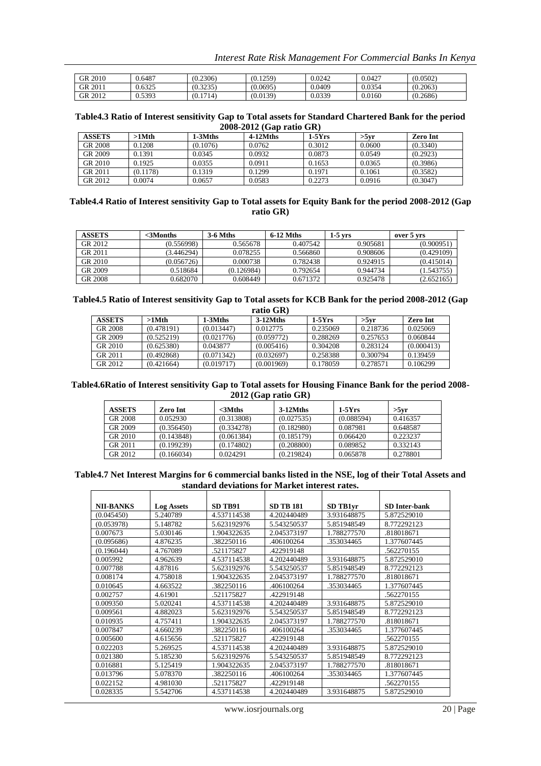*Interest Rate Risk Management For Commercial Banks In Kenya*

| GR 2010 | 0.6487 | (0.2306) | (0.1259) | 0.0242 | 0.0427 | (0.0502) |
|---------|--------|----------|----------|--------|--------|----------|
| GR 2011 | 0.6325 | (0.3235) | (0.0695) | 0.0409 | 0.0354 | (0.2063) |
| GR 2012 | 0.5393 | (0.1714) | (0.0139) | 0.0339 | 0.0160 | (0.2686) |

#### **Table4.3 Ratio of Interest sensitivity Gap to Total assets for Standard Chartered Bank for the period 2008-2012 (Gap ratio GR)**

| <b>ASSETS</b> | >1Mth    | 1-3Mths  | 4-12Mths | $1-5Yrs$ | >5vr   | <b>Zero Int</b> |
|---------------|----------|----------|----------|----------|--------|-----------------|
| GR 2008       | 0.1208   | (0.1076) | 0.0762   | 0.3012   | 0.0600 | (0.3340)        |
| GR 2009       | 0.1391   | 0.0345   | 0.0932   | 0.0873   | 0.0549 | (0.2923)        |
| GR 2010       | 0.1925   | 0.0355   | 0.0911   | 0.1653   | 0.0365 | (0.3986)        |
| GR 2011       | (0.1178) | 0.1319   | 0.1299   | 0.1971   | 0.1061 | (0.3582)        |
| GR 2012       | 0.0074   | 0.0657   | 0.0583   | 0.2273   | 0.0916 | (0.3047)        |

#### **Table4.4 Ratio of Interest sensitivity Gap to Total assets for Equity Bank for the period 2008-2012 (Gap ratio GR)**

| <b>ASSETS</b> | <3Months   | <b>3-6 Mths</b> | 6-12 Mths | 1-5 vrs  | over 5 yrs |
|---------------|------------|-----------------|-----------|----------|------------|
| GR 2012       | (0.556998) | 0.565678        | 0.407542  | 0.905681 | (0.900951) |
| GR 2011       | (3.446294) | 0.078255        | 0.566860  | 0.908606 | (0.429109) |
| GR 2010       | (0.056726) | 0.000738        | 0.782438  | 0.924915 | (0.415014) |
| GR 2009       | 0.518684   | (0.126984)      | 0.792654  | 0.944734 | (1.543755) |
| GR 2008       | 0.682070   | 0.608449        | 0.671372  | 0.925478 | (2.652165) |

#### **Table4.5 Ratio of Interest sensitivity Gap to Total assets for KCB Bank for the period 2008-2012 (Gap ratio GR)**

| -------       |            |            |             |          |          |            |  |  |  |
|---------------|------------|------------|-------------|----------|----------|------------|--|--|--|
| <b>ASSETS</b> | >1Mth      | 1-3Mths    | $3-12M$ ths | $1-5Yrs$ | $>5$ vr  | Zero Int   |  |  |  |
| GR 2008       | (0.478191) | (0.013447) | 0.012775    | 0.235069 | 0.218736 | 0.025069   |  |  |  |
| GR 2009       | (0.525219) | (0.021776) | (0.059772)  | 0.288269 | 0.257653 | 0.060844   |  |  |  |
| GR 2010       | (0.625380) | 0.043877   | (0.005416)  | 0.304208 | 0.283124 | (0.000413) |  |  |  |
| GR 2011       | (0.492868) | (0.071342) | (0.032697)  | 0.258388 | 0.300794 | 0.139459   |  |  |  |
| GR 2012       | (0.421664) | (0.019717) | (0.001969)  | 0.178059 | 0.278571 | 0.106299   |  |  |  |

### **Table4.6Ratio of Interest sensitivity Gap to Total assets for Housing Finance Bank for the period 2008- 2012 (Gap ratio GR)**

| <b>ASSETS</b> | Zero Int   | $<$ 3 $M$ ths | $3-12M$ ths | $1-5Yrs$   | >5vr     |
|---------------|------------|---------------|-------------|------------|----------|
| GR 2008       | 0.052930   | (0.313808)    | (0.027535)  | (0.088594) | 0.416357 |
| GR 2009       | (0.356450) | (0.334278)    | (0.182980)  | 0.087981   | 0.648587 |
| GR 2010       | (0.143848) | (0.061384)    | (0.185179)  | 0.066420   | 0.223237 |
| GR 2011       | (0.199239) | (0.174802)    | (0.208800)  | 0.089852   | 0.332143 |
| GR 2012       | (0.166034) | 0.024291      | (0.219824)  | 0.065878   | 0.278801 |

#### **Table4.7 Net Interest Margins for 6 commercial banks listed in the NSE, log of their Total Assets and standard deviations for Market interest rates.**

| <b>NII-BANKS</b> | <b>Log Assets</b> | <b>SD TB91</b> | <b>SD TB 181</b> | SD TB1vr    | <b>SD</b> Inter-bank |
|------------------|-------------------|----------------|------------------|-------------|----------------------|
| (0.045450)       | 5.240789          | 4.537114538    | 4.202440489      | 3.931648875 | 5.872529010          |
| (0.053978)       | 5.148782          | 5.623192976    | 5.543250537      | 5.851948549 | 8.772292123          |
| 0.007673         | 5.030146          | 1.904322635    | 2.045373197      | 1.788277570 | .818018671           |
| (0.095686)       | 4.876235          | .382250116     | .406100264       | .353034465  | 1.377607445          |
| (0.196044)       | 4.767089          | .521175827     | .422919148       |             | .562270155           |
| 0.005992         | 4.962639          | 4.537114538    | 4.202440489      | 3.931648875 | 5.872529010          |
| 0.007788         | 4.87816           | 5.623192976    | 5.543250537      | 5.851948549 | 8.772292123          |
| 0.008174         | 4.758018          | 1.904322635    | 2.045373197      | 1.788277570 | .818018671           |
| 0.010645         | 4.663522          | .382250116     | .406100264       | .353034465  | 1.377607445          |
| 0.002757         | 4.61901           | .521175827     | .422919148       |             | .562270155           |
| 0.009350         | 5.020241          | 4.537114538    | 4.202440489      | 3.931648875 | 5.872529010          |
| 0.009561         | 4.882023          | 5.623192976    | 5.543250537      | 5.851948549 | 8.772292123          |
| 0.010935         | 4.757411          | 1.904322635    | 2.045373197      | 1.788277570 | .818018671           |
| 0.007847         | 4.660239          | .382250116     | .406100264       | .353034465  | 1.377607445          |
| 0.005600         | 4.615656          | .521175827     | .422919148       |             | .562270155           |
| 0.022203         | 5.269525          | 4.537114538    | 4.202440489      | 3.931648875 | 5.872529010          |
| 0.021380         | 5.185230          | 5.623192976    | 5.543250537      | 5.851948549 | 8.772292123          |
| 0.016881         | 5.125419          | 1.904322635    | 2.045373197      | 1.788277570 | .818018671           |
| 0.013796         | 5.078370          | .382250116     | .406100264       | .353034465  | 1.377607445          |
| 0.022152         | 4.981030          | .521175827     | .422919148       |             | .562270155           |
| 0.028335         | 5.542706          | 4.537114538    | 4.202440489      | 3.931648875 | 5.872529010          |